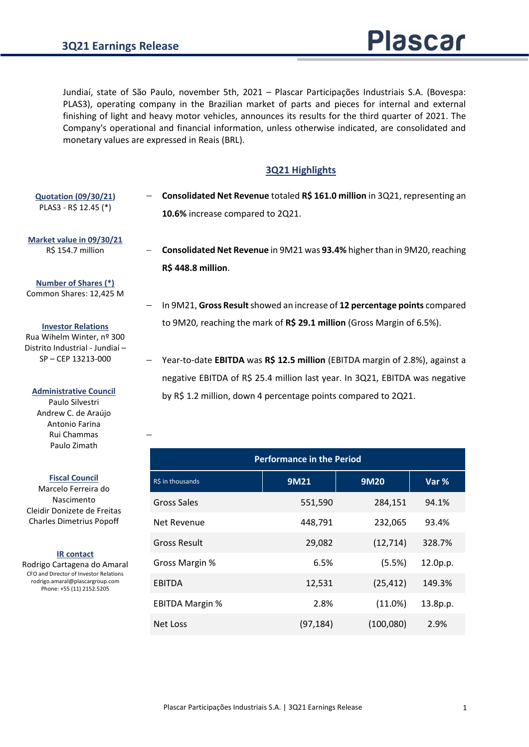Jundiaí, state of São Paulo, november 5th, 2021 – Plascar Participações Industriais S.A. (Bovespa: PLAS3), operating company in the Brazilian market of parts and pieces for internal and external finishing of light and heavy motor vehicles, announces its results for the third quarter of 2021. The Company's operational and financial information, unless otherwise indicated, are consolidated and monetary values are expressed in Reais (BRL).

## **3Q21 Highlights**

− **Consolidated Net Revenue** totaled **R\$ 161.0 million** in 3Q21, representing an **10.6%** increase compared to 2Q21. **Quotation (09/30/21)** PLAS3 - R\$ 12.45 (\*)

**Market value in 09/30/21** R\$ 154.7 million

- − **Consolidated Net Revenue** in 9M21 was **93.4%** higher than in 9M20, reaching **R\$ 448.8 million**.
- **Number of Shares (\*)** Common Shares: 12,425 M

**Investor Relations** Rua Wihelm Winter, nº 300 Distrito Industrial - Jundiaí – SP – CEP 13213-000

**Administrative Council**

Paulo Silvestri Andrew C. de Araújo Antonio Farina Rui Chammas Paulo Zimath

−

**Fiscal Council**

Marcelo Ferreira do Nascimento Cleidir Donizete de Freitas Charles Dimetrius Popoff

#### **IR contact**

Rodrigo Cartagena do Amaral CFO and Director of Investor Relations rodrigo.amaral@plascargroup.com Phone: +55 (11) 2152.5205

- − In 9M21, **Gross Result**showed an increase of **12 percentage points** compared to 9M20, reaching the mark of **R\$ 29.1 million** (Gross Margin of 6.5%).
- − Year-to-date **EBITDA** was **R\$ 12.5 million** (EBITDA margin of 2.8%), against a negative EBITDA of R\$ 25.4 million last year. In 3Q21, EBITDA was negative by R\$ 1.2 million, down 4 percentage points compared to 2Q21.

| <b>Performance in the Period</b> |           |             |          |  |  |  |
|----------------------------------|-----------|-------------|----------|--|--|--|
| R\$ in thousands                 | 9M21      | <b>9M20</b> | Var %    |  |  |  |
| Gross Sales                      | 551,590   | 284,151     | 94.1%    |  |  |  |
| Net Revenue                      | 448,791   | 232,065     | 93.4%    |  |  |  |
| <b>Gross Result</b>              | 29,082    | (12, 714)   | 328.7%   |  |  |  |
| Gross Margin %                   | 6.5%      | (5.5%)      | 12.0p.p. |  |  |  |
| <b>EBITDA</b>                    | 12,531    | (25, 412)   | 149.3%   |  |  |  |
| <b>EBITDA Margin %</b>           | 2.8%      | (11.0%)     | 13.8p.p. |  |  |  |
| <b>Net Loss</b>                  | (97, 184) | (100,080)   | 2.9%     |  |  |  |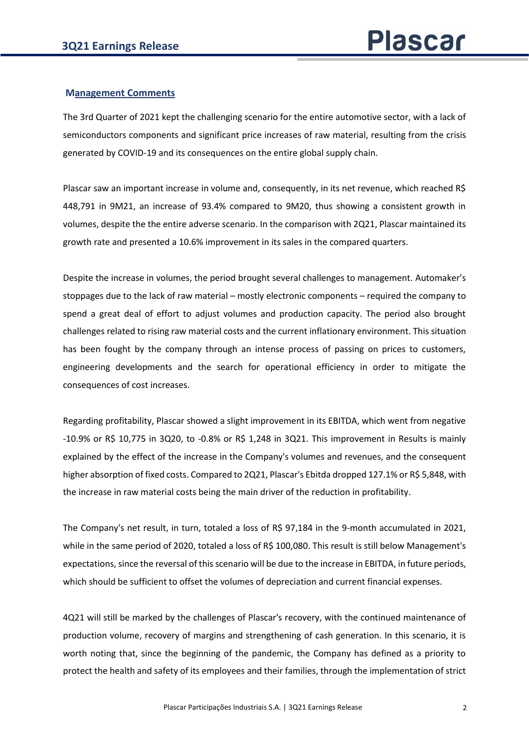## **Management Comments**

The 3rd Quarter of 2021 kept the challenging scenario for the entire automotive sector, with a lack of semiconductors components and significant price increases of raw material, resulting from the crisis generated by COVID-19 and its consequences on the entire global supply chain.

Plascar saw an important increase in volume and, consequently, in its net revenue, which reached R\$ 448,791 in 9M21, an increase of 93.4% compared to 9M20, thus showing a consistent growth in volumes, despite the the entire adverse scenario. In the comparison with 2Q21, Plascar maintained its growth rate and presented a 10.6% improvement in its sales in the compared quarters.

Despite the increase in volumes, the period brought several challenges to management. Automaker's stoppages due to the lack of raw material – mostly electronic components – required the company to spend a great deal of effort to adjust volumes and production capacity. The period also brought challenges related to rising raw material costs and the current inflationary environment. This situation has been fought by the company through an intense process of passing on prices to customers, engineering developments and the search for operational efficiency in order to mitigate the consequences of cost increases.

Regarding profitability, Plascar showed a slight improvement in its EBITDA, which went from negative  $-10.9\%$  or R\$ 10,775 in 3Q20, to  $-0.8\%$  or R\$ 1,248 in 3Q21. This improvement in Results is mainly explained by the effect of the increase in the Company's volumes and revenues, and the consequent higher absorption of fixed costs. Compared to 2Q21, Plascar's Ebitda dropped 127.1% or R\$ 5,848, with the increase in raw material costs being the main driver of the reduction in profitability.

The Company's net result, in turn, totaled a loss of R\$ 97,184 in the 9-month accumulated in 2021, while in the same period of 2020, totaled a loss of R\$ 100,080. This result is still below Management's expectations, since the reversal of this scenario will be due to the increase in EBITDA, in future periods, which should be sufficient to offset the volumes of depreciation and current financial expenses.

4Q21 will still be marked by the challenges of Plascar's recovery, with the continued maintenance of production volume, recovery of margins and strengthening of cash generation. In this scenario, it is worth noting that, since the beginning of the pandemic, the Company has defined as a priority to protect the health and safety of its employees and their families, through the implementation of strict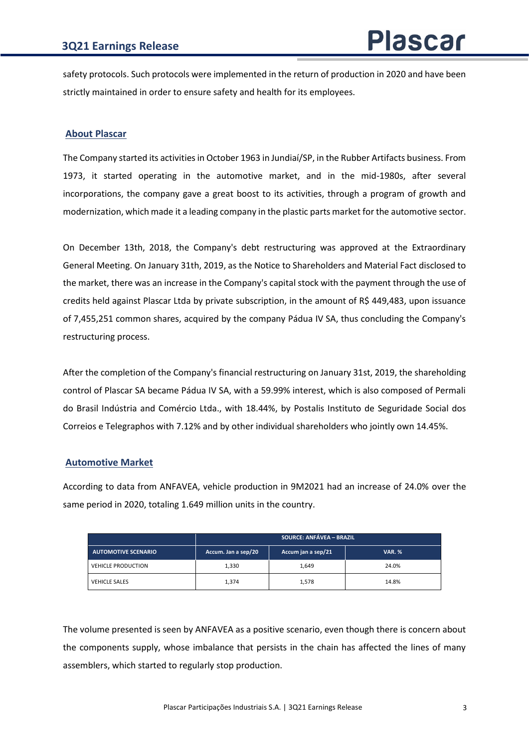safety protocols. Such protocols were implemented in the return of production in 2020 and have been strictly maintained in order to ensure safety and health for its employees.

## **About Plascar**

The Company started its activities in October 1963 in Jundiaí/SP, in the Rubber Artifacts business. From 1973, it started operating in the automotive market, and in the mid-1980s, after several incorporations, the company gave a great boost to its activities, through a program of growth and modernization, which made it a leading company in the plastic parts market for the automotive sector.

On December 13th, 2018, the Company's debt restructuring was approved at the Extraordinary General Meeting. On January 31th, 2019, as the Notice to Shareholders and Material Fact disclosed to the market, there was an increase in the Company's capital stock with the payment through the use of credits held against Plascar Ltda by private subscription, in the amount of R\$ 449,483, upon issuance of 7,455,251 common shares, acquired by the company Pádua IV SA, thus concluding the Company's restructuring process.

After the completion of the Company's financial restructuring on January 31st, 2019, the shareholding control of Plascar SA became Pádua IV SA, with a 59.99% interest, which is also composed of Permali do Brasil Indústria and Comércio Ltda., with 18.44%, by Postalis Instituto de Seguridade Social dos Correios e Telegraphos with 7.12% and by other individual shareholders who jointly own 14.45%.

# **Automotive Market**

According to data from ANFAVEA, vehicle production in 9M2021 had an increase of 24.0% over the same period in 2020, totaling 1.649 million units in the country.

|                            | <b>SOURCE: ANFÁVEA - BRAZIL</b> |                    |               |  |  |
|----------------------------|---------------------------------|--------------------|---------------|--|--|
| <b>AUTOMOTIVE SCENARIO</b> | Accum. Jan a sep/20             | Accum jan a sep/21 | <b>VAR. %</b> |  |  |
| <b>VEHICLE PRODUCTION</b>  | 1,330                           | 1,649              | 24.0%         |  |  |
| <b>VEHICLE SALES</b>       | 1,374                           | 1,578              | 14.8%         |  |  |

The volume presented is seen by ANFAVEA as a positive scenario, even though there is concern about the components supply, whose imbalance that persists in the chain has affected the lines of many assemblers, which started to regularly stop production.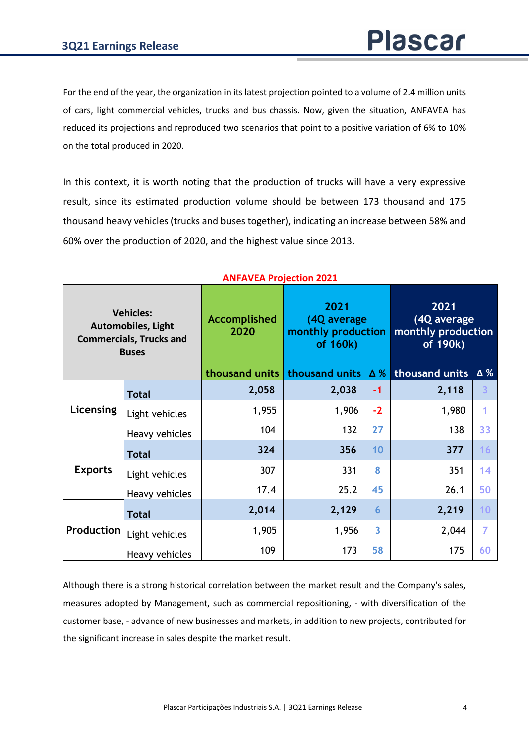For the end of the year, the organization in its latest projection pointed to a volume of 2.4 million units of cars, light commercial vehicles, trucks and bus chassis. Now, given the situation, ANFAVEA has reduced its projections and reproduced two scenarios that point to a positive variation of 6% to 10% on the total produced in 2020.

In this context, it is worth noting that the production of trucks will have a very expressive result, since its estimated production volume should be between 173 thousand and 175 thousand heavy vehicles (trucks and buses together), indicating an increase between 58% and 60% over the production of 2020, and the highest value since 2013.

|                | <b>Vehicles:</b><br><b>Automobiles, Light</b><br><b>Commercials, Trucks and</b><br><b>Buses</b> | Accomplished<br>2020 | 2021<br>(4Q average<br>monthly production<br>of 160k) |                | 2021<br>(4Q average<br>monthly production<br>of 190k) |                |
|----------------|-------------------------------------------------------------------------------------------------|----------------------|-------------------------------------------------------|----------------|-------------------------------------------------------|----------------|
|                |                                                                                                 | thousand units       | thousand units $\Delta\%$                             |                | thousand units                                        | Δ%             |
|                | <b>Total</b>                                                                                    | 2,058                | 2,038                                                 | $-1$           | 2,118                                                 | $\overline{3}$ |
| Licensing      | Light vehicles                                                                                  | 1,955                | 1,906                                                 | $-2$           | 1,980                                                 | 1              |
|                | Heavy vehicles                                                                                  | 104                  | 132                                                   | 27             | 138                                                   | 33             |
|                | Total                                                                                           | 324                  | 356                                                   | 10             | 377                                                   | 16             |
| <b>Exports</b> | Light vehicles                                                                                  | 307                  | 331                                                   | 8              | 351                                                   | 14             |
|                | Heavy vehicles                                                                                  | 17.4                 | 25.2                                                  | 45             | 26.1                                                  | 50             |
|                | <b>Total</b>                                                                                    | 2,014                | 2,129                                                 | 6              | 2,219                                                 | 10             |
| Production     | Light vehicles                                                                                  | 1,905                | 1,956                                                 | $\overline{3}$ | 2,044                                                 | $\overline{7}$ |
|                | Heavy vehicles                                                                                  | 109                  | 173                                                   | 58             | 175                                                   | 60             |

# **ANFAVEA Projection 2021**

Although there is a strong historical correlation between the market result and the Company's sales, measures adopted by Management, such as commercial repositioning, - with diversification of the customer base, - advance of new businesses and markets, in addition to new projects, contributed for the significant increase in sales despite the market result.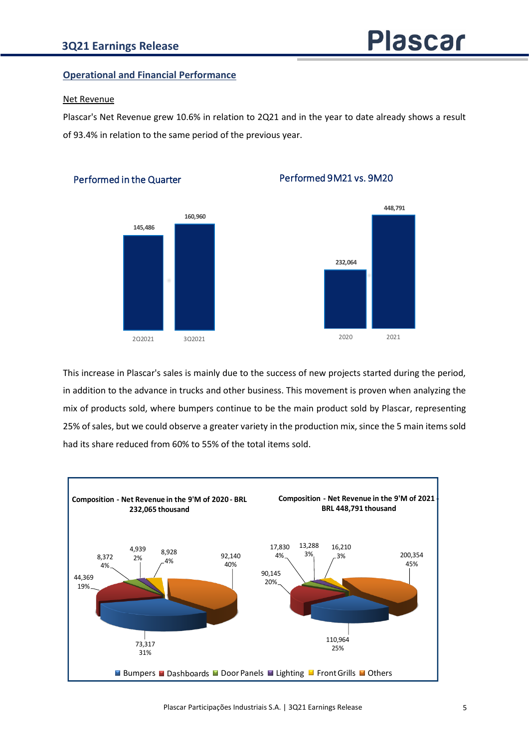Performed in the Quarter

# **Operational and Financial Performance**

## Net Revenue

Plascar's Net Revenue grew 10.6% in relation to 2Q21 and in the year to date already shows a result of 93.4% in relation to the same period of the previous year.



# Performed 9M21 vs. 9M20



This increase in Plascar's sales is mainly due to the success of new projects started during the period, in addition to the advance in trucks and other business. This movement is proven when analyzing the mix of products sold, where bumpers continue to be the main product sold by Plascar, representing 25% of sales, but we could observe a greater variety in the production mix, since the 5 main items sold had its share reduced from 60% to 55% of the total items sold.

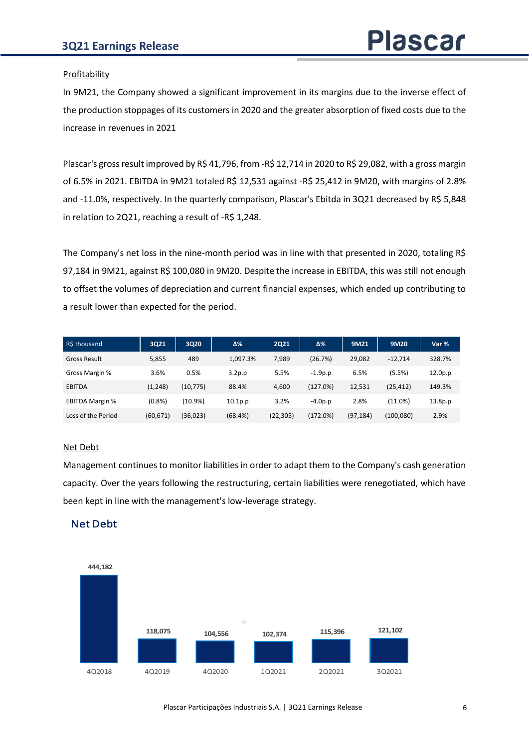## Profitability

In 9M21, the Company showed a significant improvement in its margins due to the inverse effect of the production stoppages of its customers in 2020 and the greater absorption of fixed costs due to the increase in revenues in 2021

Plascar's gross result improved by R\$ 41,796, from -R\$ 12,714 in 2020 to R\$ 29,082, with a gross margin of 6.5% in 2021. EBITDA in 9M21 totaled R\$ 12,531 against -R\$ 25,412 in 9M20, with margins of 2.8% and -11.0%, respectively. In the quarterly comparison, Plascar's Ebitda in 3Q21 decreased by R\$ 5,848 in relation to 2Q21, reaching a result of -R\$ 1,248.

The Company's net loss in the nine-month period was in line with that presented in 2020, totaling R\$ 97,184 in 9M21, against R\$ 100,080 in 9M20. Despite the increase in EBITDA, this was still not enough to offset the volumes of depreciation and current financial expenses, which ended up contributing to a result lower than expected for the period.

| R\$ thousand           | 3021      | 3Q20       | Δ%         | <b>2Q21</b> | Δ%        | 9M21      | 9M20       | Var %   |
|------------------------|-----------|------------|------------|-------------|-----------|-----------|------------|---------|
| <b>Gross Result</b>    | 5,855     | 489        | 1.097.3%   | 7,989       | (26.7%)   | 29,082    | $-12.714$  | 328.7%  |
| Gross Margin %         | 3.6%      | 0.5%       | 3.2p.p     | 5.5%        | $-1.9p.p$ | 6.5%      | (5.5%)     | 12.0p.p |
| <b>EBITDA</b>          | (1, 248)  | (10, 775)  | 88.4%      | 4,600       | (127.0%)  | 12,531    | (25, 412)  | 149.3%  |
| <b>EBITDA Margin %</b> | $(0.8\%)$ | $(10.9\%)$ | $10.1p$ .p | 3.2%        | $-4.0p.p$ | 2.8%      | (11.0%)    | 13.8p.p |
| Loss of the Period     | (60, 671) | (36, 023)  | (68.4%)    | (22, 305)   | (172.0%)  | (97, 184) | (100, 080) | 2.9%    |

## Net Debt

Management continues to monitor liabilities in order to adapt them to the Company's cash generation capacity. Over the years following the restructuring, certain liabilities were renegotiated, which have been kept in line with the management's low-leverage strategy.

# Net Debt

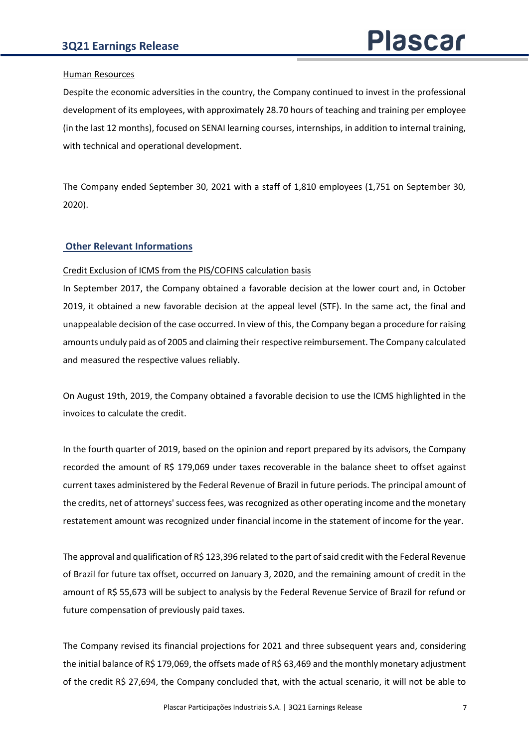## Human Resources

Despite the economic adversities in the country, the Company continued to invest in the professional development of its employees, with approximately 28.70 hours of teaching and training per employee (in the last 12 months), focused on SENAI learning courses, internships, in addition to internal training, with technical and operational development.

The Company ended September 30, 2021 with a staff of 1,810 employees (1,751 on September 30, 2020).

# **Other Relevant Informations**

## Credit Exclusion of ICMS from the PIS/COFINS calculation basis

In September 2017, the Company obtained a favorable decision at the lower court and, in October 2019, it obtained a new favorable decision at the appeal level (STF). In the same act, the final and unappealable decision of the case occurred. In view of this, the Company began a procedure for raising amounts unduly paid as of 2005 and claiming their respective reimbursement. The Company calculated and measured the respective values reliably.

On August 19th, 2019, the Company obtained a favorable decision to use the ICMS highlighted in the invoices to calculate the credit.

In the fourth quarter of 2019, based on the opinion and report prepared by its advisors, the Company recorded the amount of R\$ 179,069 under taxes recoverable in the balance sheet to offset against current taxes administered by the Federal Revenue of Brazil in future periods. The principal amount of the credits, net of attorneys' success fees, was recognized as other operating income and the monetary restatement amount was recognized under financial income in the statement of income for the year.

The approval and qualification of R\$ 123,396 related to the part of said credit with the Federal Revenue of Brazil for future tax offset, occurred on January 3, 2020, and the remaining amount of credit in the amount of R\$ 55,673 will be subject to analysis by the Federal Revenue Service of Brazil for refund or future compensation of previously paid taxes.

The Company revised its financial projections for 2021 and three subsequent years and, considering the initial balance of R\$ 179,069, the offsets made of R\$ 63,469 and the monthly monetary adjustment of the credit R\$ 27,694, the Company concluded that, with the actual scenario, it will not be able to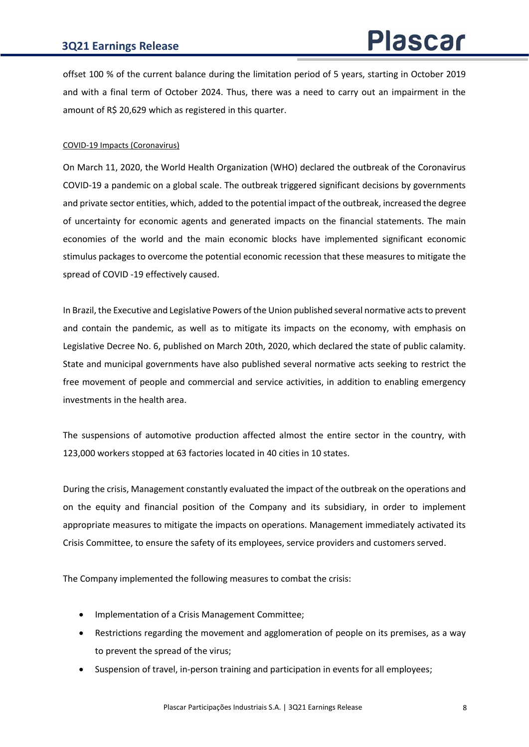offset 100 % of the current balance during the limitation period of 5 years, starting in October 2019 and with a final term of October 2024. Thus, there was a need to carry out an impairment in the amount of R\$ 20,629 which as registered in this quarter.

## COVID-19 Impacts (Coronavirus)

On March 11, 2020, the World Health Organization (WHO) declared the outbreak of the Coronavirus COVID-19 a pandemic on a global scale. The outbreak triggered significant decisions by governments and private sector entities, which, added to the potential impact of the outbreak, increased the degree of uncertainty for economic agents and generated impacts on the financial statements. The main economies of the world and the main economic blocks have implemented significant economic stimulus packages to overcome the potential economic recession that these measures to mitigate the spread of COVID -19 effectively caused.

In Brazil, the Executive and Legislative Powers of the Union published several normative acts to prevent and contain the pandemic, as well as to mitigate its impacts on the economy, with emphasis on Legislative Decree No. 6, published on March 20th, 2020, which declared the state of public calamity. State and municipal governments have also published several normative acts seeking to restrict the free movement of people and commercial and service activities, in addition to enabling emergency investments in the health area.

The suspensions of automotive production affected almost the entire sector in the country, with 123,000 workers stopped at 63 factories located in 40 cities in 10 states.

During the crisis, Management constantly evaluated the impact of the outbreak on the operations and on the equity and financial position of the Company and its subsidiary, in order to implement appropriate measures to mitigate the impacts on operations. Management immediately activated its Crisis Committee, to ensure the safety of its employees, service providers and customers served.

The Company implemented the following measures to combat the crisis:

- Implementation of a Crisis Management Committee;
- Restrictions regarding the movement and agglomeration of people on its premises, as a way to prevent the spread of the virus;
- Suspension of travel, in-person training and participation in events for all employees;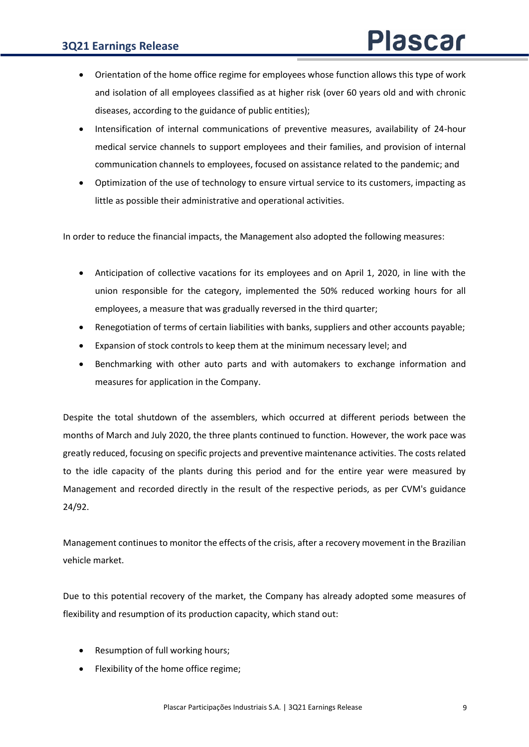- Orientation of the home office regime for employees whose function allows this type of work and isolation of all employees classified as at higher risk (over 60 years old and with chronic diseases, according to the guidance of public entities);
- Intensification of internal communications of preventive measures, availability of 24-hour medical service channels to support employees and their families, and provision of internal communication channels to employees, focused on assistance related to the pandemic; and
- Optimization of the use of technology to ensure virtual service to its customers, impacting as little as possible their administrative and operational activities.

In order to reduce the financial impacts, the Management also adopted the following measures:

- Anticipation of collective vacations for its employees and on April 1, 2020, in line with the union responsible for the category, implemented the 50% reduced working hours for all employees, a measure that was gradually reversed in the third quarter;
- Renegotiation of terms of certain liabilities with banks, suppliers and other accounts payable;
- Expansion of stock controls to keep them at the minimum necessary level; and
- Benchmarking with other auto parts and with automakers to exchange information and measures for application in the Company.

Despite the total shutdown of the assemblers, which occurred at different periods between the months of March and July 2020, the three plants continued to function. However, the work pace was greatly reduced, focusing on specific projects and preventive maintenance activities. The costs related to the idle capacity of the plants during this period and for the entire year were measured by Management and recorded directly in the result of the respective periods, as per CVM's guidance 24/92.

Management continues to monitor the effects of the crisis, after a recovery movement in the Brazilian vehicle market.

Due to this potential recovery of the market, the Company has already adopted some measures of flexibility and resumption of its production capacity, which stand out:

- Resumption of full working hours;
- Flexibility of the home office regime;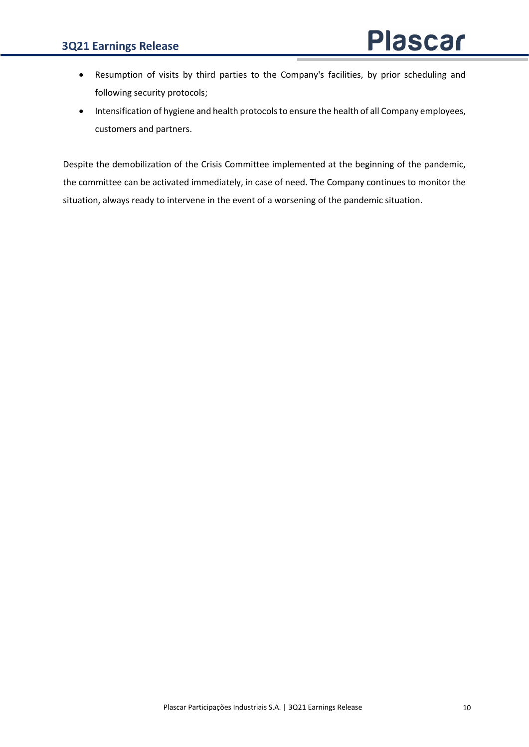- Resumption of visits by third parties to the Company's facilities, by prior scheduling and following security protocols;
- Intensification of hygiene and health protocols to ensure the health of all Company employees, customers and partners.

Despite the demobilization of the Crisis Committee implemented at the beginning of the pandemic, the committee can be activated immediately, in case of need. The Company continues to monitor the situation, always ready to intervene in the event of a worsening of the pandemic situation.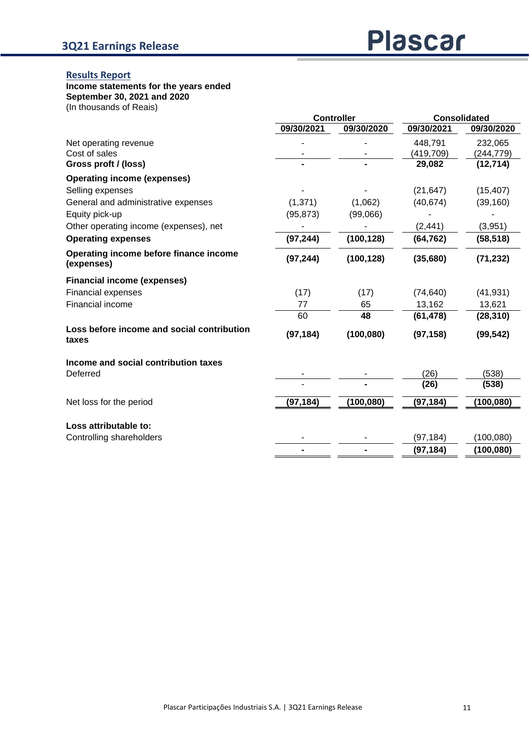## **Results Report**

#### **Income statements for the years ended**

**September 30, 2021 and 2020**

(In thousands of Reais)

|                                                      |            | <b>Controller</b> |            | <b>Consolidated</b> |  |
|------------------------------------------------------|------------|-------------------|------------|---------------------|--|
|                                                      | 09/30/2021 | 09/30/2020        | 09/30/2021 | 09/30/2020          |  |
| Net operating revenue                                |            |                   | 448,791    | 232,065             |  |
| Cost of sales                                        |            |                   | (419,709)  | (244, 779)          |  |
| Gross proft / (loss)                                 |            |                   | 29,082     | (12, 714)           |  |
| <b>Operating income (expenses)</b>                   |            |                   |            |                     |  |
| Selling expenses                                     |            |                   | (21, 647)  | (15, 407)           |  |
| General and administrative expenses                  | (1, 371)   | (1,062)           | (40, 674)  | (39, 160)           |  |
| Equity pick-up                                       | (95, 873)  | (99,066)          |            |                     |  |
| Other operating income (expenses), net               |            |                   | (2, 441)   | (3,951)             |  |
| <b>Operating expenses</b>                            | (97, 244)  | (100, 128)        | (64, 762)  | (58, 518)           |  |
| Operating income before finance income<br>(expenses) | (97, 244)  | (100, 128)        | (35,680)   | (71, 232)           |  |
| <b>Financial income (expenses)</b>                   |            |                   |            |                     |  |
| <b>Financial expenses</b>                            | (17)       | (17)              | (74, 640)  | (41, 931)           |  |
| <b>Financial income</b>                              | 77         | 65                | 13,162     | 13,621              |  |
|                                                      | 60         | 48                | (61, 478)  | (28, 310)           |  |
| Loss before income and social contribution<br>taxes  | (97, 184)  | (100, 080)        | (97, 158)  | (99, 542)           |  |
| Income and social contribution taxes                 |            |                   |            |                     |  |
| Deferred                                             |            |                   | (26)       | (538)               |  |
|                                                      |            |                   | (26)       | (538)               |  |
| Net loss for the period                              | (97, 184)  | (100, 080)        | (97, 184)  | (100,080)           |  |
|                                                      |            |                   |            |                     |  |
| Loss attributable to:<br>Controlling shareholders    |            |                   | (97, 184)  | (100, 080)          |  |
|                                                      |            |                   | (97, 184)  | (100, 080)          |  |
|                                                      |            |                   |            |                     |  |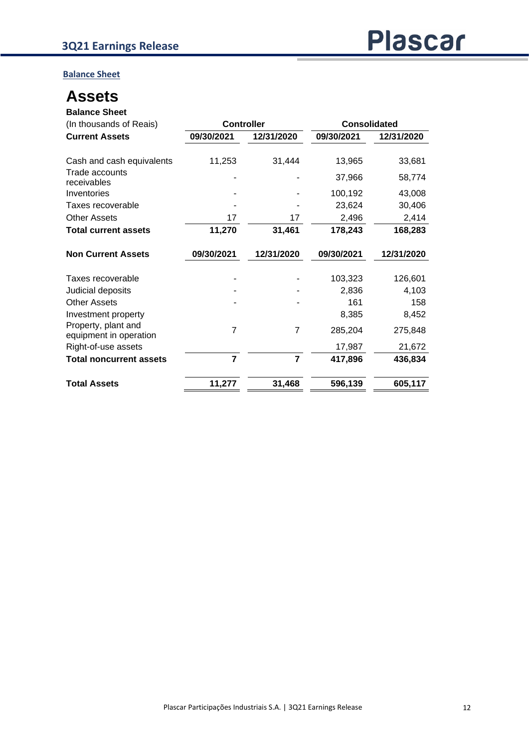**Balance Sheet**

# **Assets**

| <b>Balance Sheet</b>                          |                                          |                |            |            |
|-----------------------------------------------|------------------------------------------|----------------|------------|------------|
| (In thousands of Reais)                       | <b>Controller</b><br><b>Consolidated</b> |                |            |            |
| <b>Current Assets</b>                         | 09/30/2021                               | 12/31/2020     | 09/30/2021 | 12/31/2020 |
| Cash and cash equivalents                     | 11,253                                   | 31,444         | 13,965     | 33,681     |
| Trade accounts<br>receivables                 |                                          |                | 37,966     | 58,774     |
| Inventories                                   |                                          |                | 100,192    | 43,008     |
| Taxes recoverable                             |                                          |                | 23,624     | 30,406     |
| <b>Other Assets</b>                           | 17                                       | 17             | 2,496      | 2,414      |
| <b>Total current assets</b>                   | 11,270                                   | 31,461         | 178,243    | 168,283    |
| <b>Non Current Assets</b>                     | 09/30/2021                               | 12/31/2020     | 09/30/2021 | 12/31/2020 |
| Taxes recoverable                             |                                          |                | 103,323    | 126,601    |
| Judicial deposits                             |                                          |                | 2,836      | 4,103      |
| <b>Other Assets</b>                           |                                          |                | 161        | 158        |
| Investment property                           |                                          |                | 8,385      | 8,452      |
| Property, plant and<br>equipment in operation | $\overline{7}$                           | $\overline{7}$ | 285,204    | 275,848    |
| Right-of-use assets                           |                                          |                | 17,987     | 21,672     |
| <b>Total noncurrent assets</b>                | $\overline{7}$                           | $\overline{7}$ | 417,896    | 436,834    |
| <b>Total Assets</b>                           | 11,277                                   | 31,468         | 596,139    | 605,117    |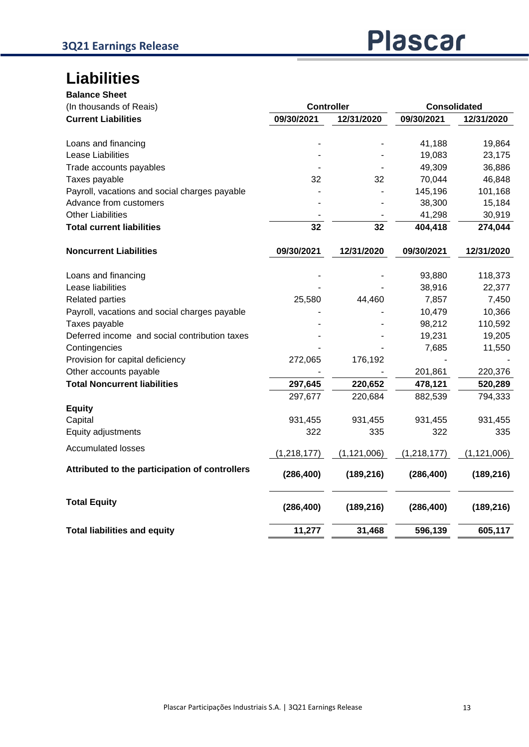# **Liabilities**

| <b>Balance Sheet</b>                           |                   |               |                     |               |  |
|------------------------------------------------|-------------------|---------------|---------------------|---------------|--|
| (In thousands of Reais)                        | <b>Controller</b> |               | <b>Consolidated</b> |               |  |
| <b>Current Liabilities</b>                     | 09/30/2021        | 12/31/2020    | 09/30/2021          | 12/31/2020    |  |
| Loans and financing                            |                   |               | 41,188              | 19,864        |  |
| Lease Liabilities                              |                   |               | 19,083              | 23,175        |  |
| Trade accounts payables                        |                   |               | 49,309              | 36,886        |  |
| Taxes payable                                  | 32                | 32            | 70,044              | 46,848        |  |
| Payroll, vacations and social charges payable  |                   |               | 145,196             | 101,168       |  |
| Advance from customers                         |                   |               | 38,300              | 15,184        |  |
| <b>Other Liabilities</b>                       |                   |               | 41,298              | 30,919        |  |
| <b>Total current liabilities</b>               | 32                | 32            | 404,418             | 274,044       |  |
| <b>Noncurrent Liabilities</b>                  | 09/30/2021        | 12/31/2020    | 09/30/2021          | 12/31/2020    |  |
| Loans and financing                            |                   |               | 93,880              | 118,373       |  |
| Lease liabilities                              |                   |               | 38,916              | 22,377        |  |
| <b>Related parties</b>                         | 25,580            | 44,460        | 7,857               | 7,450         |  |
| Payroll, vacations and social charges payable  |                   |               | 10,479              | 10,366        |  |
| Taxes payable                                  |                   |               | 98,212              | 110,592       |  |
| Deferred income and social contribution taxes  |                   |               | 19,231              | 19,205        |  |
| Contingencies                                  |                   |               | 7,685               | 11,550        |  |
| Provision for capital deficiency               | 272,065           | 176,192       |                     |               |  |
| Other accounts payable                         |                   |               | 201,861             | 220,376       |  |
| <b>Total Noncurrent liabilities</b>            | 297,645           | 220,652       | 478,121             | 520,289       |  |
|                                                | 297,677           | 220,684       | 882,539             | 794,333       |  |
| <b>Equity</b>                                  |                   |               |                     |               |  |
| Capital                                        | 931,455           | 931,455       | 931,455             | 931,455       |  |
| Equity adjustments                             | 322               | 335           | 322                 | 335           |  |
| <b>Accumulated losses</b>                      | (1, 218, 177)     | (1, 121, 006) | (1, 218, 177)       | (1, 121, 006) |  |
| Attributed to the participation of controllers | (286, 400)        | (189, 216)    | (286, 400)          | (189, 216)    |  |
| <b>Total Equity</b>                            | (286, 400)        | (189, 216)    | (286, 400)          | (189, 216)    |  |
| <b>Total liabilities and equity</b>            | 11,277            | 31,468        | 596,139             | 605,117       |  |